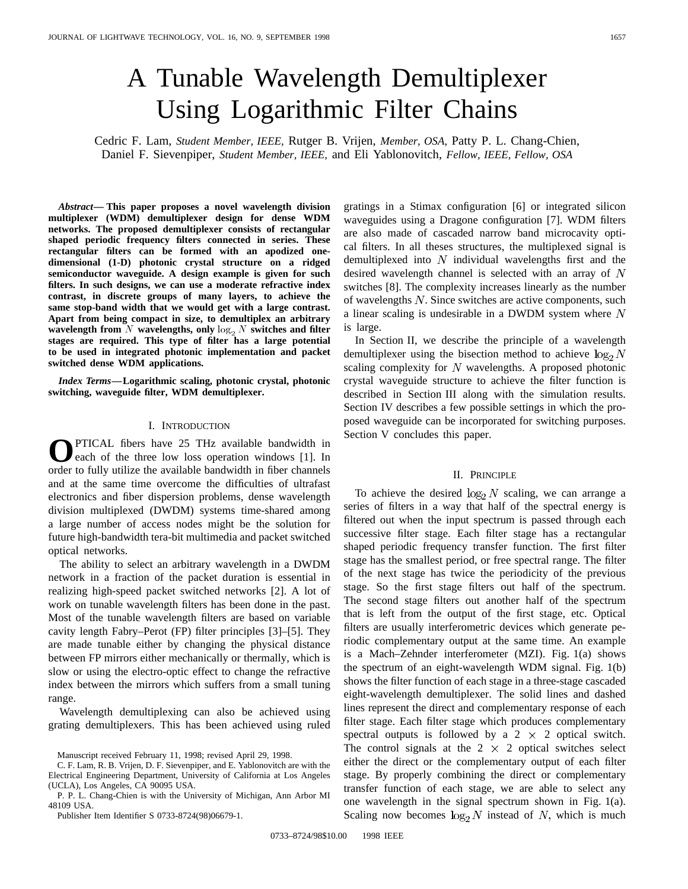# A Tunable Wavelength Demultiplexer Using Logarithmic Filter Chains

Cedric F. Lam, *Student Member, IEEE,* Rutger B. Vrijen, *Member, OSA,* Patty P. L. Chang-Chien, Daniel F. Sievenpiper, *Student Member, IEEE,* and Eli Yablonovitch, *Fellow, IEEE, Fellow, OSA*

*Abstract—* **This paper proposes a novel wavelength division multiplexer (WDM) demultiplexer design for dense WDM networks. The proposed demultiplexer consists of rectangular shaped periodic frequency filters connected in series. These rectangular filters can be formed with an apodized onedimensional (1-D) photonic crystal structure on a ridged semiconductor waveguide. A design example is given for such filters. In such designs, we can use a moderate refractive index contrast, in discrete groups of many layers, to achieve the same stop-band width that we would get with a large contrast. Apart from being compact in size, to demultiplex an arbitrary wavelength from** N **wavelengths, only**  $\log_2 N$  **switches and filter stages are required. This type of filter has a large potential to be used in integrated photonic implementation and packet switched dense WDM applications.**

*Index Terms—***Logarithmic scaling, photonic crystal, photonic switching, waveguide filter, WDM demultiplexer.**

## I. INTRODUCTION

**O**PTICAL fibers have 25 THz available bandwidth in each of the three low loss operation windows [1]. In order to fully utilize the available bandwidth in fiber channels and at the same time overcome the difficulties of ultrafast electronics and fiber dispersion problems, dense wavelength division multiplexed (DWDM) systems time-shared among a large number of access nodes might be the solution for future high-bandwidth tera-bit multimedia and packet switched optical networks.

The ability to select an arbitrary wavelength in a DWDM network in a fraction of the packet duration is essential in realizing high-speed packet switched networks [2]. A lot of work on tunable wavelength filters has been done in the past. Most of the tunable wavelength filters are based on variable cavity length Fabry–Perot (FP) filter principles [3]–[5]. They are made tunable either by changing the physical distance between FP mirrors either mechanically or thermally, which is slow or using the electro-optic effect to change the refractive index between the mirrors which suffers from a small tuning range.

Wavelength demultiplexing can also be achieved using grating demultiplexers. This has been achieved using ruled

Publisher Item Identifier S 0733-8724(98)06679-1.

gratings in a Stimax configuration [6] or integrated silicon waveguides using a Dragone configuration [7]. WDM filters are also made of cascaded narrow band microcavity optical filters. In all theses structures, the multiplexed signal is demultiplexed into  $N$  individual wavelengths first and the desired wavelength channel is selected with an array of  $N$ switches [8]. The complexity increases linearly as the number of wavelengths  $N$ . Since switches are active components, such a linear scaling is undesirable in a DWDM system where  $N$ is large.

In Section II, we describe the principle of a wavelength demultiplexer using the bisection method to achieve  $\log_2 N$ scaling complexity for  $N$  wavelengths. A proposed photonic crystal waveguide structure to achieve the filter function is described in Section III along with the simulation results. Section IV describes a few possible settings in which the proposed waveguide can be incorporated for switching purposes. Section V concludes this paper.

## II. PRINCIPLE

To achieve the desired  $\log_2 N$  scaling, we can arrange a series of filters in a way that half of the spectral energy is filtered out when the input spectrum is passed through each successive filter stage. Each filter stage has a rectangular shaped periodic frequency transfer function. The first filter stage has the smallest period, or free spectral range. The filter of the next stage has twice the periodicity of the previous stage. So the first stage filters out half of the spectrum. The second stage filters out another half of the spectrum that is left from the output of the first stage, etc. Optical filters are usually interferometric devices which generate periodic complementary output at the same time. An example is a Mach–Zehnder interferometer (MZI). Fig. 1(a) shows the spectrum of an eight-wavelength WDM signal. Fig. 1(b) shows the filter function of each stage in a three-stage cascaded eight-wavelength demultiplexer. The solid lines and dashed lines represent the direct and complementary response of each filter stage. Each filter stage which produces complementary spectral outputs is followed by a  $2 \times 2$  optical switch. The control signals at the  $2 \times 2$  optical switches select either the direct or the complementary output of each filter stage. By properly combining the direct or complementary transfer function of each stage, we are able to select any one wavelength in the signal spectrum shown in Fig. 1(a). Scaling now becomes  $log_2 N$  instead of N, which is much

Manuscript received February 11, 1998; revised April 29, 1998.

C. F. Lam, R. B. Vrijen, D. F. Sievenpiper, and E. Yablonovitch are with the Electrical Engineering Department, University of California at Los Angeles (UCLA), Los Angeles, CA 90095 USA.

P. P. L. Chang-Chien is with the University of Michigan, Ann Arbor MI 48109 USA.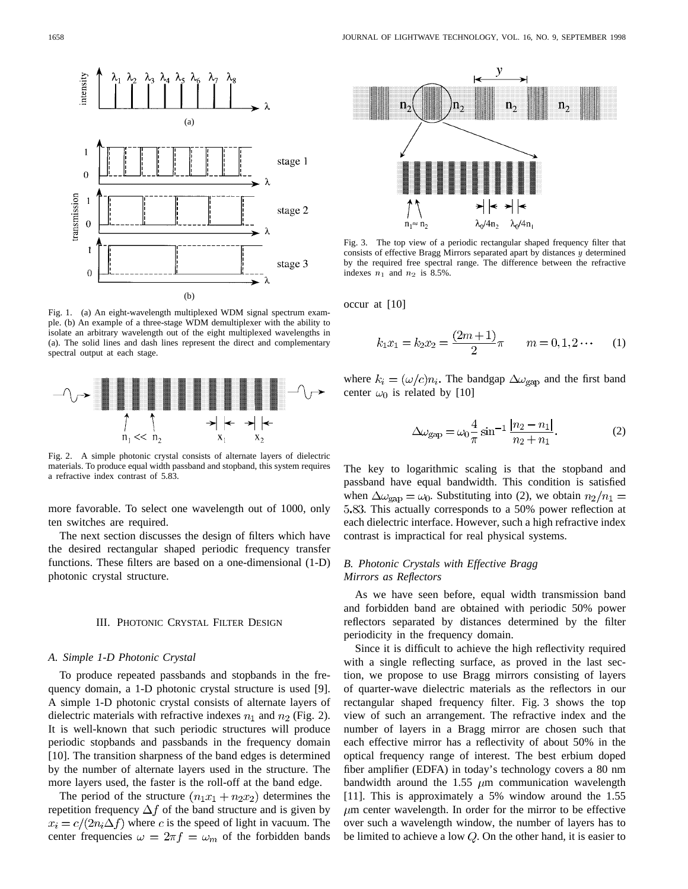

Fig. 1. (a) An eight-wavelength multiplexed WDM signal spectrum example. (b) An example of a three-stage WDM demultiplexer with the ability to isolate an arbitrary wavelength out of the eight multiplexed wavelengths in (a). The solid lines and dash lines represent the direct and complementary spectral output at each stage.



Fig. 2. A simple photonic crystal consists of alternate layers of dielectric materials. To produce equal width passband and stopband, this system requires a refractive index contrast of 5.83.

more favorable. To select one wavelength out of 1000, only ten switches are required.

The next section discusses the design of filters which have the desired rectangular shaped periodic frequency transfer functions. These filters are based on a one-dimensional (1-D) photonic crystal structure.

### III. PHOTONIC CRYSTAL FILTER DESIGN

#### *A. Simple 1-D Photonic Crystal*

To produce repeated passbands and stopbands in the frequency domain, a 1-D photonic crystal structure is used [9]. A simple 1-D photonic crystal consists of alternate layers of dielectric materials with refractive indexes  $n_1$  and  $n_2$  (Fig. 2). It is well-known that such periodic structures will produce periodic stopbands and passbands in the frequency domain [10]. The transition sharpness of the band edges is determined by the number of alternate layers used in the structure. The more layers used, the faster is the roll-off at the band edge.

The period of the structure  $(n_1x_1 + n_2x_2)$  determines the repetition frequency  $\Delta f$  of the band structure and is given by  $x_i = c/(2n_i \Delta f)$  where c is the speed of light in vacuum. The center frequencies  $\omega = 2\pi f = \omega_m$  of the forbidden bands



Fig. 3. The top view of a periodic rectangular shaped frequency filter that consists of effective Bragg Mirrors separated apart by distances  $y$  determined by the required free spectral range. The difference between the refractive indexes  $n_1$  and  $n_2$  is 8.5%.

occur at [10]

$$
k_1 x_1 = k_2 x_2 = \frac{(2m+1)}{2}\pi \qquad m = 0, 1, 2 \cdots \qquad (1)
$$

where  $k_i = (\omega/c)n_i$ . The bandgap  $\Delta \omega_{\rm gap}$  and the first band center  $\omega_0$  is related by [10]

$$
\Delta \omega_{\rm gap} = \omega_0 \frac{4}{\pi} \sin^{-1} \frac{|n_2 - n_1|}{n_2 + n_1}.
$$
 (2)

The key to logarithmic scaling is that the stopband and passband have equal bandwidth. This condition is satisfied when  $\Delta \omega_{\rm gap} = \omega_0$ . Substituting into (2), we obtain  $n_2/n_1 =$ . This actually corresponds to a 50% power reflection at each dielectric interface. However, such a high refractive index contrast is impractical for real physical systems.

# *B. Photonic Crystals with Effective Bragg Mirrors as Reflectors*

As we have seen before, equal width transmission band and forbidden band are obtained with periodic 50% power reflectors separated by distances determined by the filter periodicity in the frequency domain.

Since it is difficult to achieve the high reflectivity required with a single reflecting surface, as proved in the last section, we propose to use Bragg mirrors consisting of layers of quarter-wave dielectric materials as the reflectors in our rectangular shaped frequency filter. Fig. 3 shows the top view of such an arrangement. The refractive index and the number of layers in a Bragg mirror are chosen such that each effective mirror has a reflectivity of about 50% in the optical frequency range of interest. The best erbium doped fiber amplifier (EDFA) in today's technology covers a 80 nm bandwidth around the 1.55  $\mu$ m communication wavelength [11]. This is approximately a 5% window around the 1.55  $\mu$ m center wavelength. In order for the mirror to be effective over such a wavelength window, the number of layers has to be limited to achieve a low  $Q$ . On the other hand, it is easier to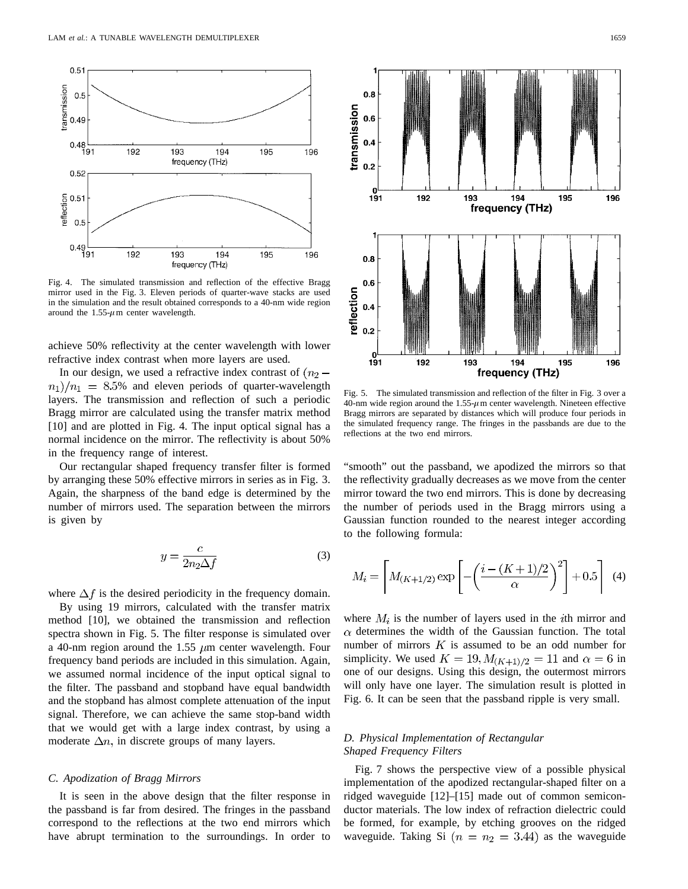

Fig. 4. The simulated transmission and reflection of the effective Bragg mirror used in the Fig. 3. Eleven periods of quarter-wave stacks are used in the simulation and the result obtained corresponds to a 40-nm wide region around the  $1.55-\mu m$  center wavelength.

achieve 50% reflectivity at the center wavelength with lower refractive index contrast when more layers are used.

In our design, we used a refractive index contrast of  $(n<sub>2</sub> (n_1)/n_1 = 8.5\%$  and eleven periods of quarter-wavelength layers. The transmission and reflection of such a periodic Bragg mirror are calculated using the transfer matrix method [10] and are plotted in Fig. 4. The input optical signal has a normal incidence on the mirror. The reflectivity is about 50% in the frequency range of interest.

Our rectangular shaped frequency transfer filter is formed by arranging these 50% effective mirrors in series as in Fig. 3. Again, the sharpness of the band edge is determined by the number of mirrors used. The separation between the mirrors is given by

$$
y = \frac{c}{2n_2\Delta f} \tag{3}
$$

where  $\Delta f$  is the desired periodicity in the frequency domain.

By using 19 mirrors, calculated with the transfer matrix method [10], we obtained the transmission and reflection spectra shown in Fig. 5. The filter response is simulated over a 40-nm region around the 1.55  $\mu$ m center wavelength. Four frequency band periods are included in this simulation. Again, we assumed normal incidence of the input optical signal to the filter. The passband and stopband have equal bandwidth and the stopband has almost complete attenuation of the input signal. Therefore, we can achieve the same stop-band width that we would get with a large index contrast, by using a moderate  $\Delta n$ , in discrete groups of many layers.

#### *C. Apodization of Bragg Mirrors*

It is seen in the above design that the filter response in the passband is far from desired. The fringes in the passband correspond to the reflections at the two end mirrors which have abrupt termination to the surroundings. In order to



Fig. 5. The simulated transmission and reflection of the filter in Fig. 3 over a 40-nm wide region around the  $1.55-\mu$ m center wavelength. Nineteen effective Bragg mirrors are separated by distances which will produce four periods in the simulated frequency range. The fringes in the passbands are due to the reflections at the two end mirrors.

"smooth" out the passband, we apodized the mirrors so that the reflectivity gradually decreases as we move from the center mirror toward the two end mirrors. This is done by decreasing the number of periods used in the Bragg mirrors using a Gaussian function rounded to the nearest integer according to the following formula:

$$
M_i = \left[ M_{(K+1/2)} \exp\left[ -\left( \frac{i - (K+1)/2}{\alpha} \right)^2 \right] + 0.5 \right] (4)
$$

where  $M_i$  is the number of layers used in the *i*th mirror and  $\alpha$  determines the width of the Gaussian function. The total number of mirrors  $K$  is assumed to be an odd number for simplicity. We used  $K = 19, M_{(K+1)/2} = 11$  and  $\alpha = 6$  in one of our designs. Using this design, the outermost mirrors will only have one layer. The simulation result is plotted in Fig. 6. It can be seen that the passband ripple is very small.

## *D. Physical Implementation of Rectangular Shaped Frequency Filters*

Fig. 7 shows the perspective view of a possible physical implementation of the apodized rectangular-shaped filter on a ridged waveguide [12]–[15] made out of common semiconductor materials. The low index of refraction dielectric could be formed, for example, by etching grooves on the ridged waveguide. Taking Si  $(n = n_2 = 3.44)$  as the waveguide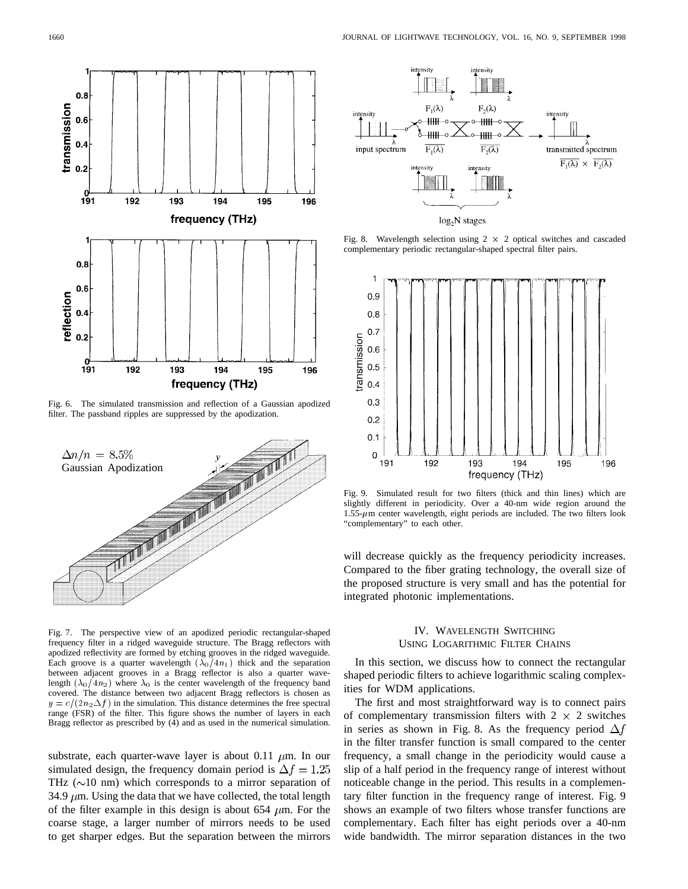

Fig. 6. The simulated transmission and reflection of a Gaussian apodized filter. The passband ripples are suppressed by the apodization.



Fig. 7. The perspective view of an apodized periodic rectangular-shaped frequency filter in a ridged waveguide structure. The Bragg reflectors with apodized reflectivity are formed by etching grooves in the ridged waveguide. Each groove is a quarter wavelength  $(\lambda_0/4n_1)$  thick and the separation between adjacent grooves in a Bragg reflector is also a quarter wavelength  $(\lambda_0/4n_2)$  where  $\lambda_0$  is the center wavelength of the frequency band covered. The distance between two adjacent Bragg reflectors is chosen as  $y = c/(2n_2\Delta f)$  in the simulation. This distance determines the free spectral range (FSR) of the filter. This figure shows the number of layers in each Bragg reflector as prescribed by (4) and as used in the numerical simulation.

substrate, each quarter-wave layer is about 0.11  $\mu$ m. In our simulated design, the frequency domain period is  $\Delta f = 1.25$ THz  $(\sim 10 \text{ nm})$  which corresponds to a mirror separation of 34.9  $\mu$ m. Using the data that we have collected, the total length of the filter example in this design is about 654  $\mu$ m. For the coarse stage, a larger number of mirrors needs to be used to get sharper edges. But the separation between the mirrors



Fig. 8. Wavelength selection using  $2 \times 2$  optical switches and cascaded complementary periodic rectangular-shaped spectral filter pairs.



Fig. 9. Simulated result for two filters (thick and thin lines) which are slightly different in periodicity. Over a 40-nm wide region around the  $1.55-\mu$ m center wavelength, eight periods are included. The two filters look "complementary" to each other.

will decrease quickly as the frequency periodicity increases. Compared to the fiber grating technology, the overall size of the proposed structure is very small and has the potential for integrated photonic implementations.

# IV. WAVELENGTH SWITCHING USING LOGARITHMIC FILTER CHAINS

In this section, we discuss how to connect the rectangular shaped periodic filters to achieve logarithmic scaling complexities for WDM applications.

The first and most straightforward way is to connect pairs of complementary transmission filters with  $2 \times 2$  switches in series as shown in Fig. 8. As the frequency period  $\Delta f$ in the filter transfer function is small compared to the center frequency, a small change in the periodicity would cause a slip of a half period in the frequency range of interest without noticeable change in the period. This results in a complementary filter function in the frequency range of interest. Fig. 9 shows an example of two filters whose transfer functions are complementary. Each filter has eight periods over a 40-nm wide bandwidth. The mirror separation distances in the two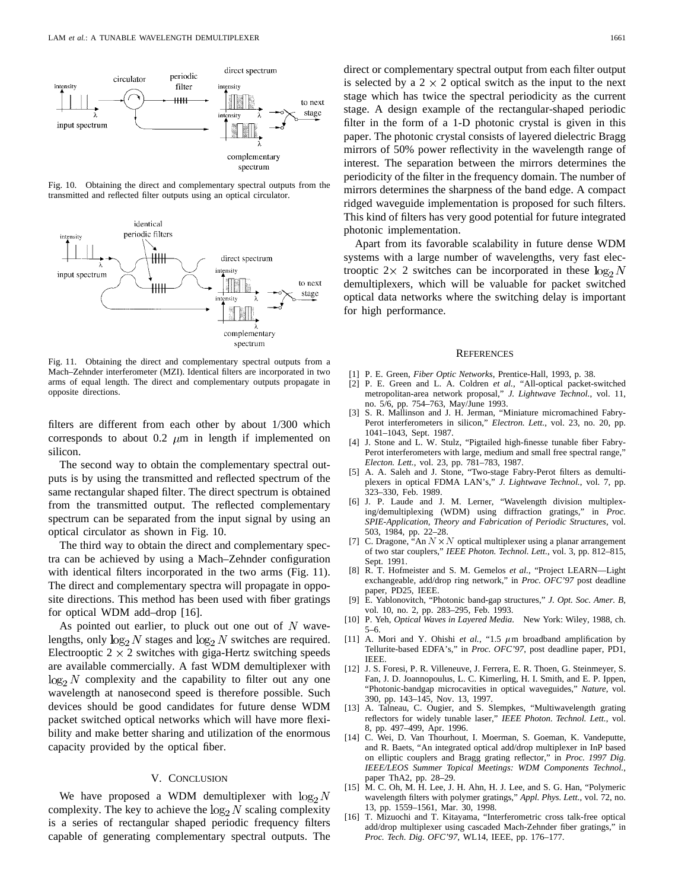

Fig. 10. Obtaining the direct and complementary spectral outputs from the transmitted and reflected filter outputs using an optical circulator.



Fig. 11. Obtaining the direct and complementary spectral outputs from a Mach–Zehnder interferometer (MZI). Identical filters are incorporated in two arms of equal length. The direct and complementary outputs propagate in opposite directions.

filters are different from each other by about 1/300 which corresponds to about 0.2  $\mu$ m in length if implemented on silicon.

The second way to obtain the complementary spectral outputs is by using the transmitted and reflected spectrum of the same rectangular shaped filter. The direct spectrum is obtained from the transmitted output. The reflected complementary spectrum can be separated from the input signal by using an optical circulator as shown in Fig. 10.

The third way to obtain the direct and complementary spectra can be achieved by using a Mach–Zehnder configuration with identical filters incorporated in the two arms (Fig. 11). The direct and complementary spectra will propagate in opposite directions. This method has been used with fiber gratings for optical WDM add–drop [16].

As pointed out earlier, to pluck out one out of  $N$  wavelengths, only  $\log_2 N$  stages and  $\log_2 N$  switches are required. Electrooptic  $2 \times 2$  switches with giga-Hertz switching speeds are available commercially. A fast WDM demultiplexer with  $log_2 N$  complexity and the capability to filter out any one wavelength at nanosecond speed is therefore possible. Such devices should be good candidates for future dense WDM packet switched optical networks which will have more flexibility and make better sharing and utilization of the enormous capacity provided by the optical fiber.

#### V. CONCLUSION

We have proposed a WDM demultiplexer with  $\log_2 N$ complexity. The key to achieve the  $\log_2 N$  scaling complexity is a series of rectangular shaped periodic frequency filters capable of generating complementary spectral outputs. The direct or complementary spectral output from each filter output is selected by a  $2 \times 2$  optical switch as the input to the next stage which has twice the spectral periodicity as the current stage. A design example of the rectangular-shaped periodic filter in the form of a 1-D photonic crystal is given in this paper. The photonic crystal consists of layered dielectric Bragg mirrors of 50% power reflectivity in the wavelength range of interest. The separation between the mirrors determines the periodicity of the filter in the frequency domain. The number of mirrors determines the sharpness of the band edge. A compact ridged waveguide implementation is proposed for such filters. This kind of filters has very good potential for future integrated photonic implementation.

Apart from its favorable scalability in future dense WDM systems with a large number of wavelengths, very fast electrooptic 2 x 2 switches can be incorporated in these  $log_2 N$ demultiplexers, which will be valuable for packet switched optical data networks where the switching delay is important for high performance.

#### **REFERENCES**

- [1] P. E. Green, *Fiber Optic Networks*, Prentice-Hall, 1993, p. 38.
- [2] P. E. Green and L. A. Coldren *et al.*, "All-optical packet-switched metropolitan-area network proposal," *J. Lightwave Technol.*, vol. 11, no. 5/6, pp. 754–763, May/June 1993.
- [3] S. R. Mallinson and J. H. Jerman, "Miniature micromachined Fabry-Perot interferometers in silicon," *Electron. Lett.*, vol. 23, no. 20, pp. 1041–1043, Sept. 1987.
- [4] J. Stone and L. W. Stulz, "Pigtailed high-finesse tunable fiber Fabry-Perot interferometers with large, medium and small free spectral range," *Electon. Lett.*, vol. 23, pp. 781–783, 1987.
- [5] A. A. Saleh and J. Stone, "Two-stage Fabry-Perot filters as demultiplexers in optical FDMA LAN's," *J. Lightwave Technol.*, vol. 7, pp. 323–330, Feb. 1989.
- [6] J. P. Laude and J. M. Lerner, "Wavelength division multiplexing/demultiplexing (WDM) using diffraction gratings," in *Proc. SPIE-Application, Theory and Fabrication of Periodic Structures*, vol. 503, 1984, pp. 22–28.
- [7] C. Dragone, "An  $N \times N$  optical multiplexer using a planar arrangement of two star couplers," *IEEE Photon. Technol. Lett.*, vol. 3, pp. 812–815, Sept. 1991.
- [8] R. T. Hofmeister and S. M. Gemelos *et al.*, "Project LEARN—Light exchangeable, add/drop ring network," in *Proc. OFC'97* post deadline paper, PD25, IEEE.
- [9] E. Yablonovitch, "Photonic band-gap structures," *J. Opt. Soc. Amer. B*, vol. 10, no. 2, pp. 283–295, Feb. 1993.
- [10] P. Yeh, *Optical Waves in Layered Media*. New York: Wiley, 1988, ch. 5–6.
- [11] A. Mori and Y. Ohishi et al., "1.5  $\mu$ m broadband amplification by Tellurite-based EDFA's," in *Proc. OFC'97*, post deadline paper, PD1, **IEEE**
- [12] J. S. Foresi, P. R. Villeneuve, J. Ferrera, E. R. Thoen, G. Steinmeyer, S. Fan, J. D. Joannopoulus, L. C. Kimerling, H. I. Smith, and E. P. Ippen, "Photonic-bandgap microcavities in optical waveguides," *Nature*, vol. 390, pp. 143–145, Nov. 13, 1997.
- [13] A. Talneau, C. Ougier, and S. Slempkes, "Multiwavelength grating reflectors for widely tunable laser," *IEEE Photon. Technol. Lett.*, vol. 8, pp. 497–499, Apr. 1996.
- [14] C. Wei, D. Van Thourhout, I. Moerman, S. Goeman, K. Vandeputte, and R. Baets, "An integrated optical add/drop multiplexer in InP based on elliptic couplers and Bragg grating reflector," in *Proc. 1997 Dig. IEEE/LEOS Summer Topical Meetings: WDM Components Technol.*, paper ThA2, pp. 28–29.
- [15] M. C. Oh, M. H. Lee, J. H. Ahn, H. J. Lee, and S. G. Han, "Polymeric wavelength filters with polymer gratings," *Appl. Phys. Lett.*, vol. 72, no. 13, pp. 1559–1561, Mar. 30, 1998.
- [16] T. Mizuochi and T. Kitayama, "Interferometric cross talk-free optical add/drop multiplexer using cascaded Mach-Zehnder fiber gratings," in *Proc. Tech. Dig. OFC'97*, WL14, IEEE, pp. 176–177.